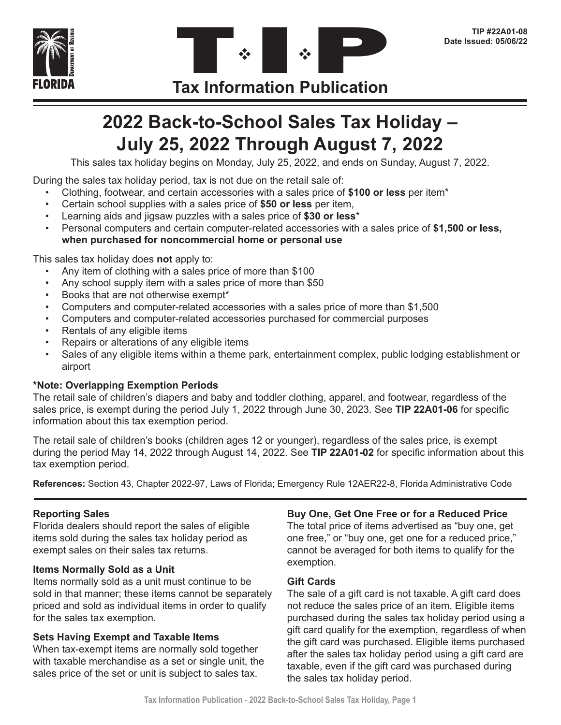



# **2022 Back-to-School Sales Tax Holiday – July 25, 2022 Through August 7, 2022**

This sales tax holiday begins on Monday, July 25, 2022, and ends on Sunday, August 7, 2022.

During the sales tax holiday period, tax is not due on the retail sale of:

- Clothing, footwear, and certain accessories with a sales price of **\$100 or less** per item\*
- Certain school supplies with a sales price of **\$50 or less** per item,
- Learning aids and jigsaw puzzles with a sales price of **\$30 or less**\*
- Personal computers and certain computer-related accessories with a sales price of **\$1,500 or less, when purchased for noncommercial home or personal use**

This sales tax holiday does **not** apply to:

- Any item of clothing with a sales price of more than \$100
- Any school supply item with a sales price of more than \$50
- Books that are not otherwise exempt\*
- Computers and computer-related accessories with a sales price of more than \$1,500
- Computers and computer-related accessories purchased for commercial purposes
- Rentals of any eligible items
- Repairs or alterations of any eligible items
- Sales of any eligible items within a theme park, entertainment complex, public lodging establishment or airport

#### **\*Note: Overlapping Exemption Periods**

The retail sale of children's diapers and baby and toddler clothing, apparel, and footwear, regardless of the sales price, is exempt during the period July 1, 2022 through June 30, 2023. See **TIP 22A01-06** for specific information about this tax exemption period.

The retail sale of children's books (children ages 12 or younger), regardless of the sales price, is exempt during the period May 14, 2022 through August 14, 2022. See **TIP 22A01-02** for specific information about this tax exemption period.

**References:** Section 43, Chapter 2022-97, Laws of Florida; Emergency Rule 12AER22-8, Florida Administrative Code

#### **Reporting Sales**

Florida dealers should report the sales of eligible items sold during the sales tax holiday period as exempt sales on their sales tax returns.

#### **Items Normally Sold as a Unit**

Items normally sold as a unit must continue to be sold in that manner; these items cannot be separately priced and sold as individual items in order to qualify for the sales tax exemption.

#### **Sets Having Exempt and Taxable Items**

When tax-exempt items are normally sold together with taxable merchandise as a set or single unit, the sales price of the set or unit is subject to sales tax.

#### **Buy One, Get One Free or for a Reduced Price**

The total price of items advertised as "buy one, get one free," or "buy one, get one for a reduced price," cannot be averaged for both items to qualify for the exemption.

#### **Gift Cards**

The sale of a gift card is not taxable. A gift card does not reduce the sales price of an item. Eligible items purchased during the sales tax holiday period using a gift card qualify for the exemption, regardless of when the gift card was purchased. Eligible items purchased after the sales tax holiday period using a gift card are taxable, even if the gift card was purchased during the sales tax holiday period.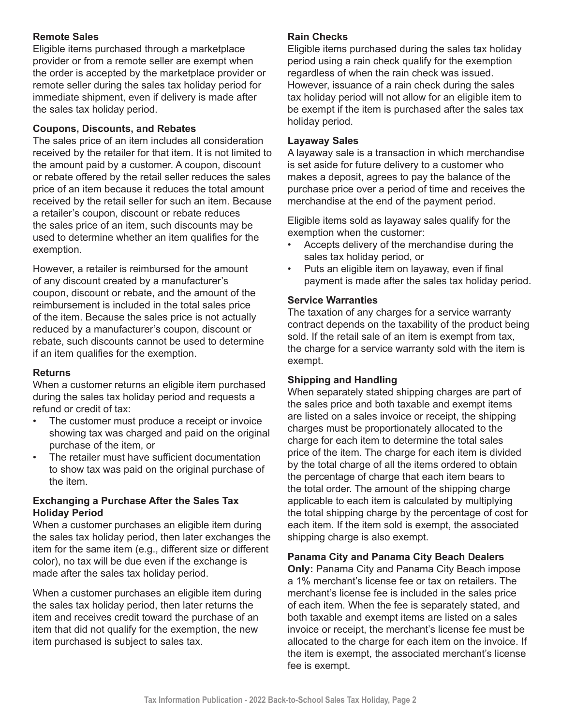#### **Remote Sales**

Eligible items purchased through a marketplace provider or from a remote seller are exempt when the order is accepted by the marketplace provider or remote seller during the sales tax holiday period for immediate shipment, even if delivery is made after the sales tax holiday period.

#### **Coupons, Discounts, and Rebates**

The sales price of an item includes all consideration received by the retailer for that item. It is not limited to the amount paid by a customer. A coupon, discount or rebate offered by the retail seller reduces the sales price of an item because it reduces the total amount received by the retail seller for such an item. Because a retailer's coupon, discount or rebate reduces the sales price of an item, such discounts may be used to determine whether an item qualifies for the exemption.

However, a retailer is reimbursed for the amount of any discount created by a manufacturer's coupon, discount or rebate, and the amount of the reimbursement is included in the total sales price of the item. Because the sales price is not actually reduced by a manufacturer's coupon, discount or rebate, such discounts cannot be used to determine if an item qualifies for the exemption.

#### **Returns**

When a customer returns an eligible item purchased during the sales tax holiday period and requests a refund or credit of tax:

- The customer must produce a receipt or invoice showing tax was charged and paid on the original purchase of the item, or
- The retailer must have sufficient documentation to show tax was paid on the original purchase of the item.

#### **Exchanging a Purchase After the Sales Tax Holiday Period**

When a customer purchases an eligible item during the sales tax holiday period, then later exchanges the item for the same item (e.g., different size or different color), no tax will be due even if the exchange is made after the sales tax holiday period.

When a customer purchases an eligible item during the sales tax holiday period, then later returns the item and receives credit toward the purchase of an item that did not qualify for the exemption, the new item purchased is subject to sales tax.

#### **Rain Checks**

Eligible items purchased during the sales tax holiday period using a rain check qualify for the exemption regardless of when the rain check was issued. However, issuance of a rain check during the sales tax holiday period will not allow for an eligible item to be exempt if the item is purchased after the sales tax holiday period.

#### **Layaway Sales**

A layaway sale is a transaction in which merchandise is set aside for future delivery to a customer who makes a deposit, agrees to pay the balance of the purchase price over a period of time and receives the merchandise at the end of the payment period.

Eligible items sold as layaway sales qualify for the exemption when the customer:

- Accepts delivery of the merchandise during the sales tax holiday period, or
- Puts an eligible item on layaway, even if final payment is made after the sales tax holiday period.

#### **Service Warranties**

The taxation of any charges for a service warranty contract depends on the taxability of the product being sold. If the retail sale of an item is exempt from tax, the charge for a service warranty sold with the item is exempt.

#### **Shipping and Handling**

When separately stated shipping charges are part of the sales price and both taxable and exempt items are listed on a sales invoice or receipt, the shipping charges must be proportionately allocated to the charge for each item to determine the total sales price of the item. The charge for each item is divided by the total charge of all the items ordered to obtain the percentage of charge that each item bears to the total order. The amount of the shipping charge applicable to each item is calculated by multiplying the total shipping charge by the percentage of cost for each item. If the item sold is exempt, the associated shipping charge is also exempt.

#### **Panama City and Panama City Beach Dealers**

**Only:** Panama City and Panama City Beach impose a 1% merchant's license fee or tax on retailers. The merchant's license fee is included in the sales price of each item. When the fee is separately stated, and both taxable and exempt items are listed on a sales invoice or receipt, the merchant's license fee must be allocated to the charge for each item on the invoice. If the item is exempt, the associated merchant's license fee is exempt.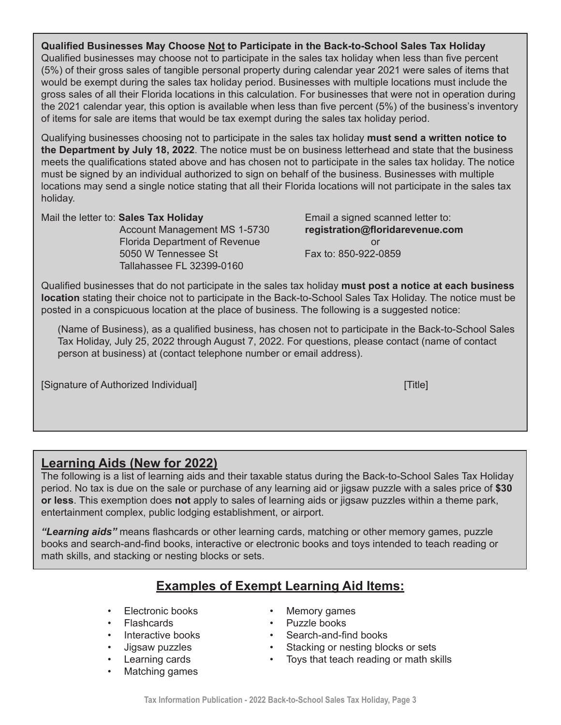**Qualified Businesses May Choose Not to Participate in the Back-to-School Sales Tax Holiday** Qualified businesses may choose not to participate in the sales tax holiday when less than five percent (5%) of their gross sales of tangible personal property during calendar year 2021 were sales of items that would be exempt during the sales tax holiday period. Businesses with multiple locations must include the gross sales of all their Florida locations in this calculation. For businesses that were not in operation during the 2021 calendar year, this option is available when less than five percent (5%) of the business's inventory of items for sale are items that would be tax exempt during the sales tax holiday period.

Qualifying businesses choosing not to participate in the sales tax holiday **must send a written notice to the Department by July 18, 2022**. The notice must be on business letterhead and state that the business meets the qualifications stated above and has chosen not to participate in the sales tax holiday. The notice must be signed by an individual authorized to sign on behalf of the business. Businesses with multiple locations may send a single notice stating that all their Florida locations will not participate in the sales tax holiday.

Mail the letter to: **Sales Tax Holiday** Email a signed scanned letter to:

Florida Department of Revenue and a state of the original control of  $\sim$ 5050 W Tennessee St Fax to: 850-922-0859 Tallahassee FL 32399-0160

Account Management MS 1-5730 **registration@floridarevenue.com**

Qualified businesses that do not participate in the sales tax holiday **must post a notice at each business location** stating their choice not to participate in the Back-to-School Sales Tax Holiday. The notice must be posted in a conspicuous location at the place of business. The following is a suggested notice:

(Name of Business), as a qualified business, has chosen not to participate in the Back-to-School Sales Tax Holiday, July 25, 2022 through August 7, 2022. For questions, please contact (name of contact person at business) at (contact telephone number or email address).

[Signature of Authorized Individual] [Title]

# **Learning Aids (New for 2022)**

The following is a list of learning aids and their taxable status during the Back-to-School Sales Tax Holiday period. No tax is due on the sale or purchase of any learning aid or jigsaw puzzle with a sales price of **\$30 or less**. This exemption does **not** apply to sales of learning aids or jigsaw puzzles within a theme park, entertainment complex, public lodging establishment, or airport.

*"Learning aids"* means flashcards or other learning cards, matching or other memory games, puzzle books and search-and-find books, interactive or electronic books and toys intended to teach reading or math skills, and stacking or nesting blocks or sets.

# **Examples of Exempt Learning Aid Items:**

- Electronic books
- **Flashcards**
- Interactive books
- Jigsaw puzzles
- Learning cards
- Matching games
- Memory games
- Puzzle books
- Search-and-find books
- Stacking or nesting blocks or sets
- Toys that teach reading or math skills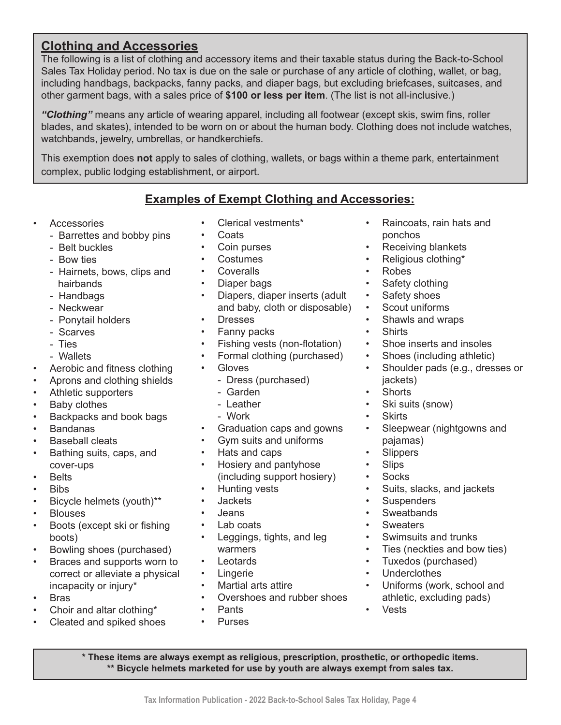# **Clothing and Accessories**

The following is a list of clothing and accessory items and their taxable status during the Back-to-School Sales Tax Holiday period. No tax is due on the sale or purchase of any article of clothing, wallet, or bag, including handbags, backpacks, fanny packs, and diaper bags, but excluding briefcases, suitcases, and other garment bags, with a sales price of **\$100 or less per item**. (The list is not all-inclusive.)

*"Clothing"* means any article of wearing apparel, including all footwear (except skis, swim fins, roller blades, and skates), intended to be worn on or about the human body. Clothing does not include watches, watchbands, jewelry, umbrellas, or handkerchiefs.

This exemption does **not** apply to sales of clothing, wallets, or bags within a theme park, entertainment complex, public lodging establishment, or airport.

### **Examples of Exempt Clothing and Accessories:**

- **Accessories** 
	- Barrettes and bobby pins
	- Belt buckles
	- Bow ties
	- Hairnets, bows, clips and hairbands
	- Handbags
	- Neckwear
	- Ponytail holders
	- Scarves
	- Ties
	- Wallets
- Aerobic and fitness clothing
- Aprons and clothing shields
- Athletic supporters
- Baby clothes
- Backpacks and book bags
- Bandanas
- **Baseball cleats**
- Bathing suits, caps, and cover-ups
- **Belts**
- Bibs
- Bicycle helmets (youth)\*\*
- **Blouses**
- Boots (except ski or fishing boots)
- Bowling shoes (purchased)
- Braces and supports worn to correct or alleviate a physical incapacity or injury\*
- Bras
- Choir and altar clothing\*
- Cleated and spiked shoes
- Clerical vestments\*
- Coats
- Coin purses
- Costumes
- Coveralls
- Diaper bags
- Diapers, diaper inserts (adult and baby, cloth or disposable)
- Dresses
- Fanny packs
- Fishing vests (non-flotation)
- Formal clothing (purchased)
- Gloves
	- Dress (purchased)
	- Garden
	- Leather
	- Work
- Graduation caps and gowns
- Gym suits and uniforms
- Hats and caps
- Hosiery and pantyhose (including support hosiery)
- Hunting vests
- Jackets
- Jeans
- Lab coats
- Leggings, tights, and leg warmers
- Leotards
- Lingerie
- Martial arts attire
- Overshoes and rubber shoes
- Pants
- Purses
- Raincoats, rain hats and ponchos
- Receiving blankets
- Religious clothing\*
- Robes
- Safety clothing
- Safety shoes
- Scout uniforms
- Shawls and wraps
- 
- Shirts<br>• Shoe i • Shoe inserts and insoles
- Shoes (including athletic)
- Shoulder pads (e.g., dresses or jackets)
- Shorts
- Ski suits (snow)
- **Skirts**
- Sleepwear (nightgowns and pajamas)
- Slippers
- Slips
- **Socks**
- Suits, slacks, and jackets
- Suspenders
- **Sweatbands**
- **Sweaters**
- Swimsuits and trunks
- Ties (neckties and bow ties)
- Tuxedos (purchased)
- Underclothes
- Uniforms (work, school and athletic, excluding pads)
- Vests

**\* These items are always exempt as religious, prescription, prosthetic, or orthopedic items. \*\* Bicycle helmets marketed for use by youth are always exempt from sales tax.**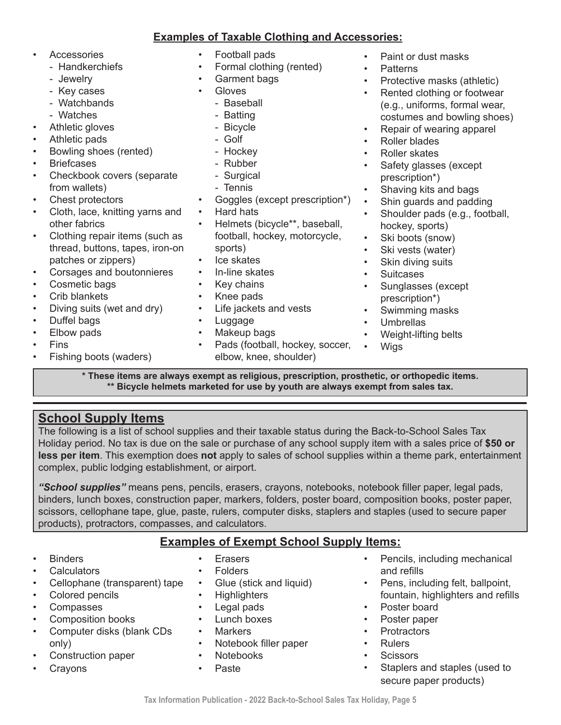#### **Examples of Taxable Clothing and Accessories:**

- Accessories
	- Handkerchiefs
	- Jewelry
	- Key cases
	- Watchbands
	- Watches
- Athletic gloves
- Athletic pads
- Bowling shoes (rented)
- **Briefcases**
- Checkbook covers (separate from wallets)
- Chest protectors
- Cloth, lace, knitting yarns and other fabrics
- Clothing repair items (such as thread, buttons, tapes, iron-on patches or zippers)
- Corsages and boutonnieres
- Cosmetic bags
- Crib blankets
- Diving suits (wet and dry)
- Duffel bags
- Elbow pads
- Fins
- Fishing boots (waders)
- Football pads
- Formal clothing (rented)
- Garment bags
- Gloves
	- Baseball
	- Batting
	- Bicycle
	- Golf
	- Hockey
	- Rubber
	- Surgical
	- Tennis
- Goggles (except prescription\*)
- Hard hats
- Helmets (bicycle\*\*, baseball, football, hockey, motorcycle, sports)
- lce skates
- In-line skates
- Key chains
- Knee pads
- Life jackets and vests
- Luggage
- Makeup bags
- Pads (football, hockey, soccer, elbow, knee, shoulder)
- Paint or dust masks
- Patterns
- Protective masks (athletic)
- Rented clothing or footwear (e.g., uniforms, formal wear, costumes and bowling shoes)
- Repair of wearing apparel
- Roller blades
- Roller skates
- Safety glasses (except prescription\*)
- Shaving kits and bags
- Shin guards and padding
- Shoulder pads (e.g., football, hockey, sports)
- Ski boots (snow)
- Ski vests (water)
- Skin diving suits
- Suitcases
- Sunglasses (except prescription\*)
- Swimming masks
- Umbrellas
- Weight-lifting belts
- Wigs

**\* These items are always exempt as religious, prescription, prosthetic, or orthopedic items. \*\* Bicycle helmets marketed for use by youth are always exempt from sales tax.**

# **School Supply Items**

The following is a list of school supplies and their taxable status during the Back-to-School Sales Tax Holiday period. No tax is due on the sale or purchase of any school supply item with a sales price of **\$50 or less per item**. This exemption does **not** apply to sales of school supplies within a theme park, entertainment complex, public lodging establishment, or airport.

*"School supplies"* means pens, pencils, erasers, crayons, notebooks, notebook filler paper, legal pads, binders, lunch boxes, construction paper, markers, folders, poster board, composition books, poster paper, scissors, cellophane tape, glue, paste, rulers, computer disks, staplers and staples (used to secure paper products), protractors, compasses, and calculators.

## **Examples of Exempt School Supply Items:**

- **Binders**
- **Calculators**
- Cellophane (transparent) tape
- Colored pencils
- **Compasses**
- Composition books
- Computer disks (blank CDs only)
- Construction paper
- **Crayons**
- **Erasers**
- 
- Glue (stick and liquid)
- **Highlighters**
- Legal pads
- Lunch boxes
- Markers
- Notebook filler paper
- Notebooks
- Paste
- Pencils, including mechanical and refills
- Pens, including felt, ballpoint, fountain, highlighters and refills
- Poster board
- Poster paper
- Protractors
- Rulers
- Scissors
- Staplers and staples (used to secure paper products)

• Folders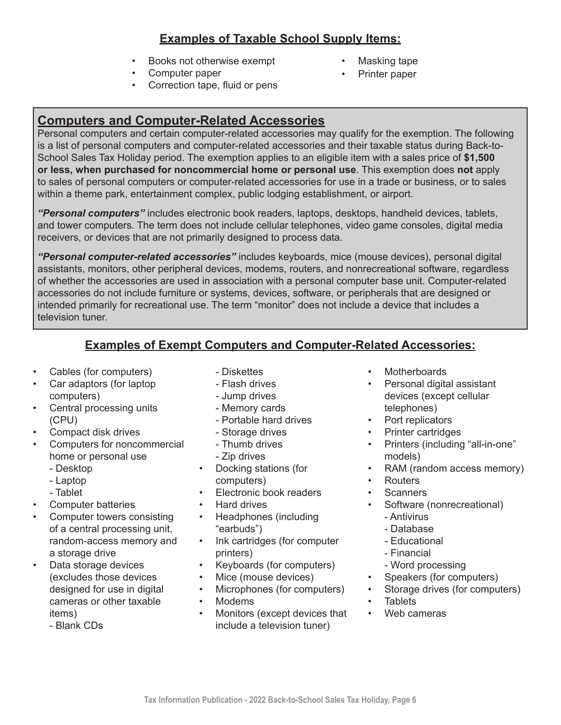## **Examples of Taxable School Supply Items:**

- Books not otherwise exempt
- Computer paper
- Correction tape, fluid or pens

# **Computers and Computer-Related Accessories**

Personal computers and certain computer-related accessories may qualify for the exemption. The following is a list of personal computers and computer-related accessories and their taxable status during Back-to-School Sales Tax Holiday period. The exemption applies to an eligible item with a sales price of **\$1,500 or less, when purchased for noncommercial home or personal use**. This exemption does **not** apply to sales of personal computers or computer-related accessories for use in a trade or business, or to sales within a theme park, entertainment complex, public lodging establishment, or airport.

*"Personal computers"* includes electronic book readers, laptops, desktops, handheld devices, tablets, and tower computers. The term does not include cellular telephones, video game consoles, digital media receivers, or devices that are not primarily designed to process data.

*"Personal computer-related accessories"* includes keyboards, mice (mouse devices), personal digital assistants, monitors, other peripheral devices, modems, routers, and nonrecreational software, regardless of whether the accessories are used in association with a personal computer base unit. Computer-related accessories do not include furniture or systems, devices, software, or peripherals that are designed or intended primarily for recreational use. The term "monitor" does not include a device that includes a television tuner.

### **Examples of Exempt Computers and Computer-Related Accessories:**

- Cables (for computers)
- Car adaptors (for laptop computers)
- Central processing units (CPU)
- Compact disk drives
- Computers for noncommercial home or personal use
	- Desktop
	- Laptop
	- Tablet
- Computer batteries
- Computer towers consisting of a central processing unit, random-access memory and a storage drive
- Data storage devices (excludes those devices designed for use in digital cameras or other taxable items)
	- Blank CDs
- Diskettes
- Flash drives
- Jump drives
- Memory cards
- Portable hard drives
- Storage drives
- Thumb drives
- Zip drives
- Docking stations (for computers)
- Electronic book readers
- Hard drives
- Headphones (including "earbuds")
- Ink cartridges (for computer printers)
- Keyboards (for computers)
- Mice (mouse devices)
- Microphones (for computers)
- Modems
- Monitors (except devices that include a television tuner)

**Motherboards** 

• Masking tape • Printer paper

- Personal digital assistant devices (except cellular telephones)
- Port replicators
- Printer cartridges
- Printers (including "all-in-one" models)
- RAM (random access memory)
- Routers
- **Scanners**
- Software (nonrecreational)
	- Antivirus
	- Database
	- Educational
	- Financial
	- Word processing
- Speakers (for computers)
- Storage drives (for computers)
- **Tablets**
- Web cameras